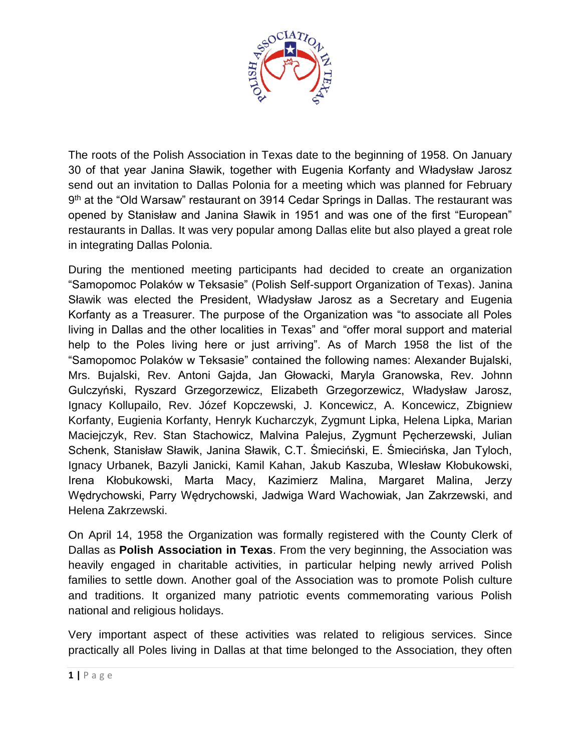

The roots of the Polish Association in Texas date to the beginning of 1958. On January 30 of that year Janina Sławik, together with Eugenia Korfanty and Władysław Jarosz send out an invitation to Dallas Polonia for a meeting which was planned for February 9<sup>th</sup> at the "Old Warsaw" restaurant on 3914 Cedar Springs in Dallas. The restaurant was opened by Stanisław and Janina Sławik in 1951 and was one of the first "European" restaurants in Dallas. It was very popular among Dallas elite but also played a great role in integrating Dallas Polonia.

During the mentioned meeting participants had decided to create an organization "Samopomoc Polaków w Teksasie" (Polish Self-support Organization of Texas). Janina Sławik was elected the President, Władysław Jarosz as a Secretary and Eugenia Korfanty as a Treasurer. The purpose of the Organization was "to associate all Poles living in Dallas and the other localities in Texas" and "offer moral support and material help to the Poles living here or just arriving". As of March 1958 the list of the "Samopomoc Polaków w Teksasie" contained the following names: Alexander Bujalski, Mrs. Bujalski, Rev. Antoni Gajda, Jan Głowacki, Maryla Granowska, Rev. Johnn Gulczyński, Ryszard Grzegorzewicz, Elizabeth Grzegorzewicz, Władysław Jarosz, Ignacy Kollupailo, Rev. Józef Kopczewski, J. Koncewicz, A. Koncewicz, Zbigniew Korfanty, Eugienia Korfanty, Henryk Kucharczyk, Zygmunt Lipka, Helena Lipka, Marian Maciejczyk, Rev. Stan Stachowicz, Malvina Palejus, Zygmunt Pęcherzewski, Julian Schenk, Stanisław Sławik, Janina Sławik, C.T. Śmieciński, E. Śmiecińska, Jan Tyloch, Ignacy Urbanek, Bazyli Janicki, Kamil Kahan, Jakub Kaszuba, WIesław Kłobukowski, Irena Kłobukowski, Marta Macy, Kazimierz Malina, Margaret Malina, Jerzy Wędrychowski, Parry Wędrychowski, Jadwiga Ward Wachowiak, Jan Zakrzewski, and Helena Zakrzewski.

On April 14, 1958 the Organization was formally registered with the County Clerk of Dallas as **Polish Association in Texas**. From the very beginning, the Association was heavily engaged in charitable activities, in particular helping newly arrived Polish families to settle down. Another goal of the Association was to promote Polish culture and traditions. It organized many patriotic events commemorating various Polish national and religious holidays.

Very important aspect of these activities was related to religious services. Since practically all Poles living in Dallas at that time belonged to the Association, they often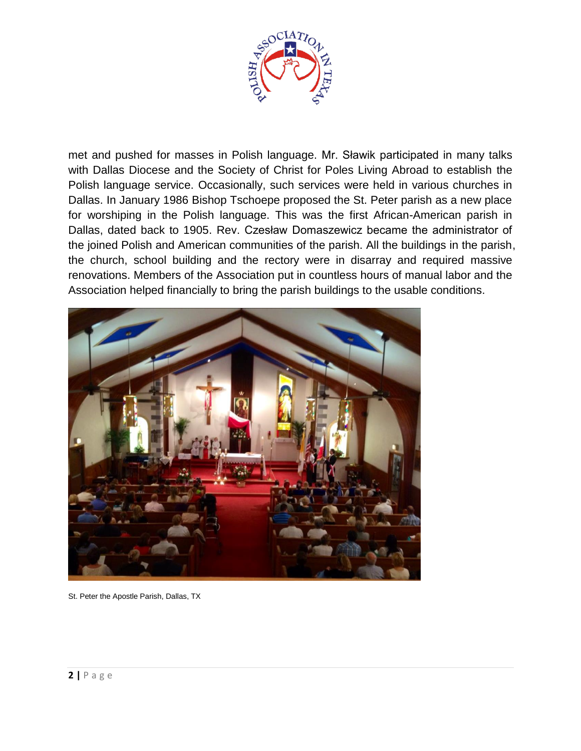

met and pushed for masses in Polish language. Mr. Sławik participated in many talks with Dallas Diocese and the Society of Christ for Poles Living Abroad to establish the Polish language service. Occasionally, such services were held in various churches in Dallas. In January 1986 Bishop Tschoepe proposed the St. Peter parish as a new place for worshiping in the Polish language. This was the first African-American parish in Dallas, dated back to 1905. Rev. Czesław Domaszewicz became the administrator of the joined Polish and American communities of the parish. All the buildings in the parish, the church, school building and the rectory were in disarray and required massive renovations. Members of the Association put in countless hours of manual labor and the Association helped financially to bring the parish buildings to the usable conditions.



St. Peter the Apostle Parish, Dallas, TX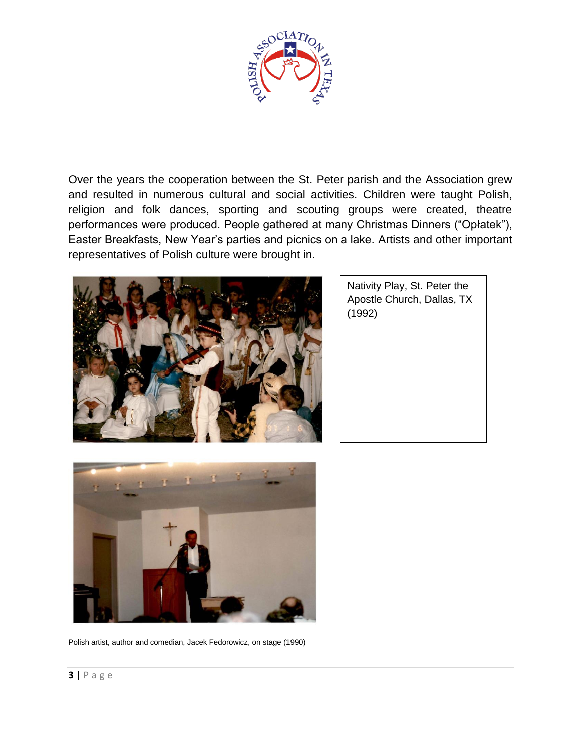

Over the years the cooperation between the St. Peter parish and the Association grew and resulted in numerous cultural and social activities. Children were taught Polish, religion and folk dances, sporting and scouting groups were created, theatre performances were produced. People gathered at many Christmas Dinners ("Opłatek"), Easter Breakfasts, New Year's parties and picnics on a lake. Artists and other important representatives of Polish culture were brought in.



Nativity Play, St. Peter the Apostle Church, Dallas, TX (1992)



Polish artist, author and comedian, Jacek Fedorowicz, on stage (1990)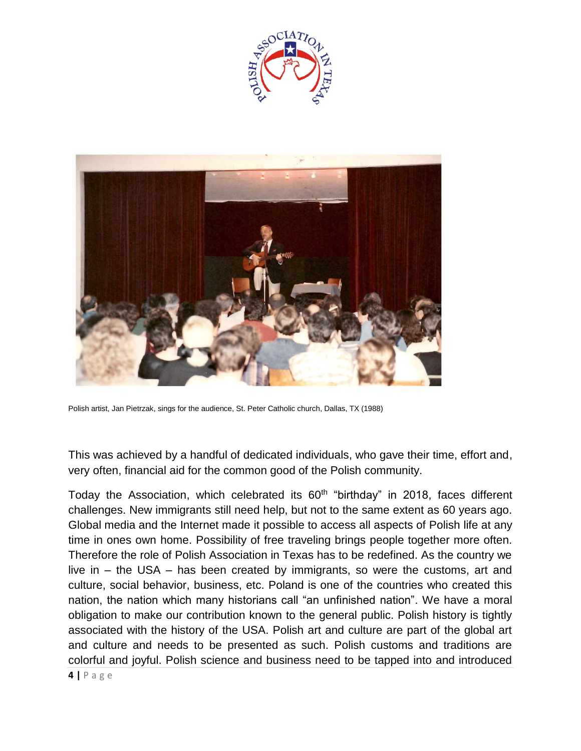



Polish artist, Jan Pietrzak, sings for the audience, St. Peter Catholic church, Dallas, TX (1988)

This was achieved by a handful of dedicated individuals, who gave their time, effort and, very often, financial aid for the common good of the Polish community.

Today the Association, which celebrated its 60<sup>th</sup> "birthday" in 2018, faces different challenges. New immigrants still need help, but not to the same extent as 60 years ago. Global media and the Internet made it possible to access all aspects of Polish life at any time in ones own home. Possibility of free traveling brings people together more often. Therefore the role of Polish Association in Texas has to be redefined. As the country we live in – the USA – has been created by immigrants, so were the customs, art and culture, social behavior, business, etc. Poland is one of the countries who created this nation, the nation which many historians call "an unfinished nation". We have a moral obligation to make our contribution known to the general public. Polish history is tightly associated with the history of the USA. Polish art and culture are part of the global art and culture and needs to be presented as such. Polish customs and traditions are colorful and joyful. Polish science and business need to be tapped into and introduced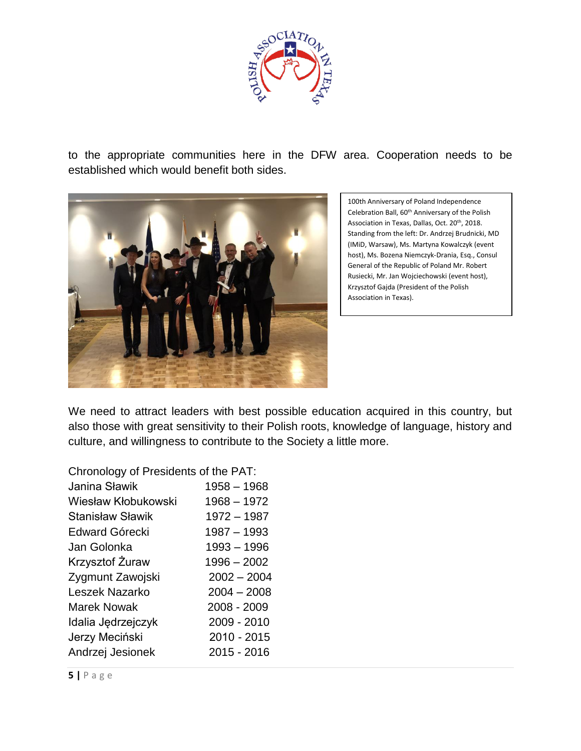

to the appropriate communities here in the DFW area. Cooperation needs to be established which would benefit both sides.



100th Anniversary of Poland Independence Celebration Ball, 60th Anniversary of the Polish Association in Texas, Dallas, Oct. 20<sup>th</sup>, 2018. Standing from the left: Dr. Andrzej Brudnicki, MD (IMiD, Warsaw), Ms. Martyna Kowalczyk (event host), Ms. Bozena Niemczyk-Drania, Esq., Consul General of the Republic of Poland Mr. Robert Rusiecki, Mr. Jan Wojciechowski (event host), Krzysztof Gajda (President of the Polish Association in Texas).

We need to attract leaders with best possible education acquired in this country, but also those with great sensitivity to their Polish roots, knowledge of language, history and culture, and willingness to contribute to the Society a little more.

Chronology of Presidents of the PAT:

| Janina Sławik           | $1958 - 1968$ |
|-------------------------|---------------|
| Wiesław Kłobukowski     | 1968 - 1972   |
| <b>Stanisław Sławik</b> | 1972 - 1987   |
| Edward Górecki          | 1987 - 1993   |
| Jan Golonka             | $1993 - 1996$ |
| Krzysztof Żuraw         | $1996 - 2002$ |
| Zygmunt Zawojski        | $2002 - 2004$ |
| Leszek Nazarko          | $2004 - 2008$ |
| <b>Marek Nowak</b>      | 2008 - 2009   |
| Idalia Jędrzejczyk      | 2009 - 2010   |
| Jerzy Meciński          | 2010 - 2015   |
| Andrzej Jesionek        | 2015 - 2016   |
|                         |               |